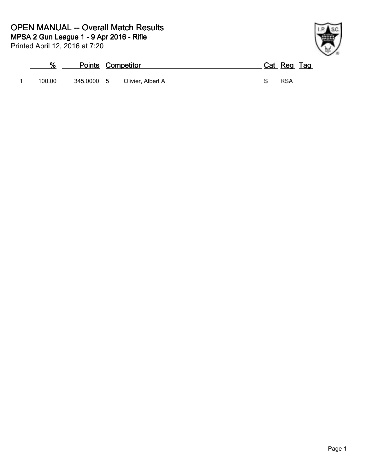## **OPEN MANUAL -- Overall Match Results**

Printed April 12, 2016 at 7:20 **MPSA 2 Gun League 1 - 9 Apr 2016 Rifle**



| %      | <b>Points Competitor</b> |                   |  | Cat Reg Tag |  |
|--------|--------------------------|-------------------|--|-------------|--|
| 100.00 | 345.0000 5               | Olivier, Albert A |  | <b>RSA</b>  |  |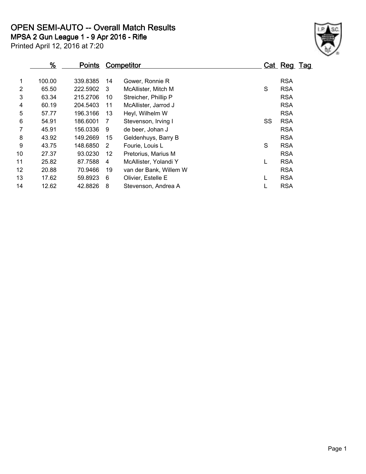**OPEN SEMI-AUTO -- Overall Match Results**

**MPSA 2 Gun League 1 - 9 Apr 2016 Rifle**



Printed April 12, 2016 at 7:20

|    | $\frac{9}{6}$ | <b>Points</b> |    | <b>Competitor</b>      |    | Cat Reg Tag |  |
|----|---------------|---------------|----|------------------------|----|-------------|--|
|    |               |               |    |                        |    |             |  |
| 1  | 100.00        | 339.8385      | 14 | Gower, Ronnie R        |    | <b>RSA</b>  |  |
| 2  | 65.50         | 222.5902      | 3  | McAllister, Mitch M    | S  | <b>RSA</b>  |  |
| 3  | 63.34         | 215,2706      | 10 | Streicher, Phillip P   |    | <b>RSA</b>  |  |
| 4  | 60.19         | 204.5403      | 11 | McAllister, Jarrod J   |    | <b>RSA</b>  |  |
| 5  | 57.77         | 196.3166      | 13 | Heyl, Wilhelm W        |    | <b>RSA</b>  |  |
| 6  | 54.91         | 186.6001      | 7  | Stevenson, Irving I    | SS | <b>RSA</b>  |  |
|    | 45.91         | 156.0336      | 9  | de beer, Johan J       |    | <b>RSA</b>  |  |
| 8  | 43.92         | 149.2669      | 15 | Geldenhuys, Barry B    |    | <b>RSA</b>  |  |
| 9  | 43.75         | 148.6850      | 2  | Fourie, Louis L        | S  | <b>RSA</b>  |  |
| 10 | 27.37         | 93.0230       | 12 | Pretorius, Marius M    |    | <b>RSA</b>  |  |
| 11 | 25.82         | 87.7588       | 4  | McAllister, Yolandi Y  |    | <b>RSA</b>  |  |
| 12 | 20.88         | 70.9466       | 19 | van der Bank, Willem W |    | <b>RSA</b>  |  |
| 13 | 17.62         | 59.8923       | 6  | Olivier, Estelle E     |    | <b>RSA</b>  |  |
| 14 | 12.62         | 42.8826       | 8  | Stevenson, Andrea A    |    | <b>RSA</b>  |  |